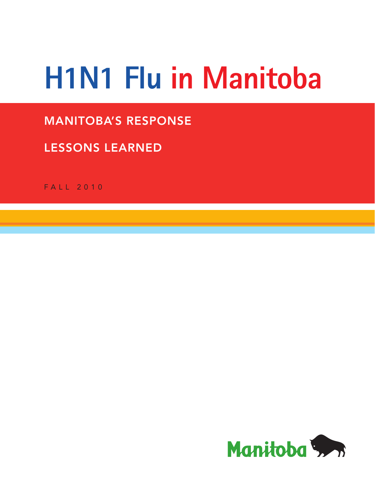# **H1N1 Flu in Manitoba**

# **MANITOBA'S RESPONSE**

# **LESSONS LEARNED**

FALL 2010

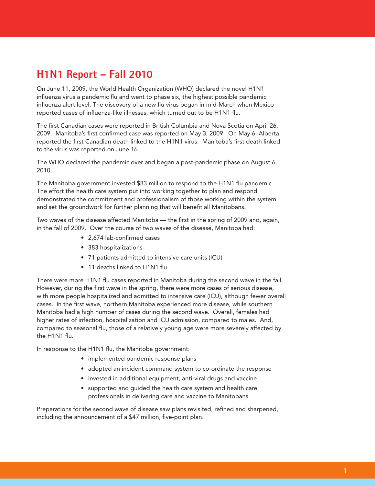# **H1N1 Report – Fall 2010**

On June 11, 2009, the World Health Organization (WHO) declared the novel H1N1 influenza virus a pandemic flu and went to phase six, the highest possible pandemic influenza alert level. The discovery of a new flu virus began in mid-March when Mexico reported cases of influenza-like illnesses, which turned out to be H1N1 flu.

The first Canadian cases were reported in British Columbia and Nova Scotia on April 26, 2009. Manitoba's first confirmed case was reported on May 3, 2009. On May 6, Alberta reported the first Canadian death linked to the H1N1 virus. Manitoba's first death linked to the virus was reported on June 16.

The WHO declared the pandemic over and began a post-pandemic phase on August 6, 2010.

The Manitoba government invested \$83 million to respond to the H1N1 flu pandemic. The effort the health care system put into working together to plan and respond demonstrated the commitment and professionalism of those working within the system and set the groundwork for further planning that will benefit all Manitobans.

Two waves of the disease affected Manitoba — the first in the spring of 2009 and, again, in the fall of 2009. Over the course of two waves of the disease, Manitoba had:

- 2,674 lab-confirmed cases
- 383 hospitalizations
- 71 patients admitted to intensive care units (ICU)
- 11 deaths linked to H1N1 flu

There were more H1N1 flu cases reported in Manitoba during the second wave in the fall. However, during the first wave in the spring, there were more cases of serious disease, with more people hospitalized and admitted to intensive care (ICU), although fewer overall cases. In the first wave, northern Manitoba experienced more disease, while southern Manitoba had a high number of cases during the second wave. Overall, females had higher rates of infection, hospitalization and ICU admission, compared to males. And, compared to seasonal flu, those of a relatively young age were more severely affected by the H1N1 flu.

In response to the H1N1 flu, the Manitoba government:

- implemented pandemic response plans
- adopted an incident command system to co-ordinate the response
- invested in additional equipment, anti-viral drugs and vaccine
- supported and guided the health care system and health care professionals in delivering care and vaccine to Manitobans

Preparations for the second wave of disease saw plans revisited, refined and sharpened, including the announcement of a \$47 million, five-point plan.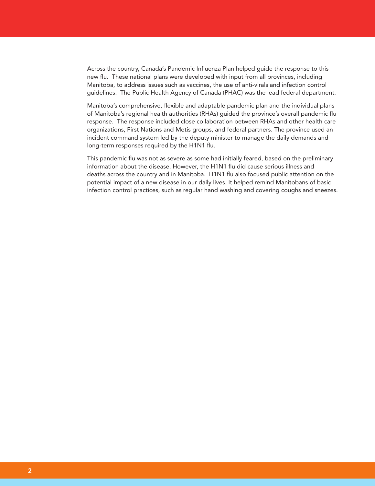Across the country, Canada's Pandemic Influenza Plan helped guide the response to this new flu. These national plans were developed with input from all provinces, including Manitoba, to address issues such as vaccines, the use of anti-virals and infection control guidelines. The Public Health Agency of Canada (PHAC) was the lead federal department.

Manitoba's comprehensive, flexible and adaptable pandemic plan and the individual plans of Manitoba's regional health authorities (RHAs) guided the province's overall pandemic flu response. The response included close collaboration between RHAs and other health care organizations, First Nations and Metis groups, and federal partners. The province used an incident command system led by the deputy minister to manage the daily demands and long-term responses required by the H1N1 flu.

This pandemic flu was not as severe as some had initially feared, based on the preliminary information about the disease. However, the H1N1 flu did cause serious illness and deaths across the country and in Manitoba. H1N1 flu also focused public attention on the potential impact of a new disease in our daily lives. It helped remind Manitobans of basic infection control practices, such as regular hand washing and covering coughs and sneezes.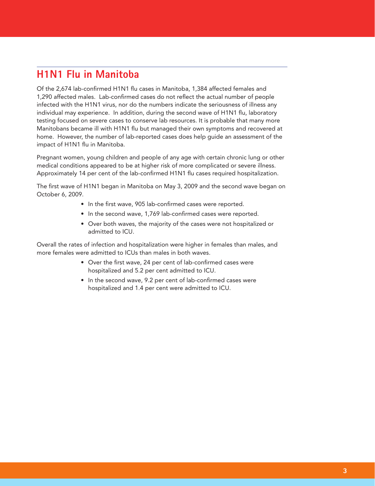# **H1N1 Flu in Manitoba**

Of the 2,674 lab-confirmed H1N1 flu cases in Manitoba, 1,384 affected females and 1,290 affected males. Lab-confirmed cases do not reflect the actual number of people infected with the H1N1 virus, nor do the numbers indicate the seriousness of illness any individual may experience. In addition, during the second wave of H1N1 flu, laboratory testing focused on severe cases to conserve lab resources. It is probable that many more Manitobans became ill with H1N1 flu but managed their own symptoms and recovered at home. However, the number of lab-reported cases does help guide an assessment of the impact of H1N1 flu in Manitoba.

Pregnant women, young children and people of any age with certain chronic lung or other medical conditions appeared to be at higher risk of more complicated or severe illness. Approximately 14 per cent of the lab-confirmed H1N1 flu cases required hospitalization.

The first wave of H1N1 began in Manitoba on May 3, 2009 and the second wave began on October 6, 2009.

- In the first wave, 905 lab-confirmed cases were reported.
- In the second wave, 1,769 lab-confirmed cases were reported.
- Over both waves, the majority of the cases were not hospitalized or admitted to ICU.

Overall the rates of infection and hospitalization were higher in females than males, and more females were admitted to ICUs than males in both waves.

- Over the first wave, 24 per cent of lab-confirmed cases were hospitalized and 5.2 per cent admitted to ICU.
- In the second wave, 9.2 per cent of lab-confirmed cases were hospitalized and 1.4 per cent were admitted to ICU.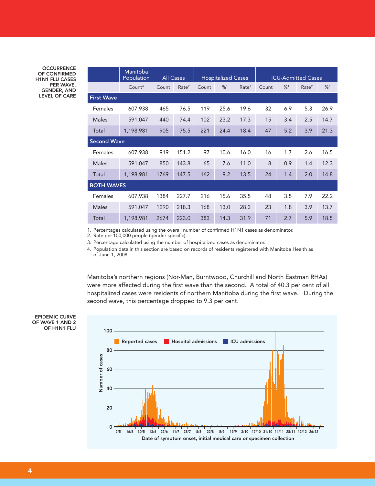**OCCURRENCE** OF CONFIRMED H1N1 FLU CASES PER WAVE, GENDER, AND LEVEL OF CARE

|                    | Manitoba<br>Population | <b>All Cases</b> |                   | <b>Hospitalized Cases</b> |      |                   | <b>ICU-Admitted Cases</b> |     |                   |      |
|--------------------|------------------------|------------------|-------------------|---------------------------|------|-------------------|---------------------------|-----|-------------------|------|
|                    | Count <sup>4</sup>     | Count            | Rate <sup>2</sup> | Count                     | %1   | Rate <sup>2</sup> | Count                     | %1  | Rate <sup>2</sup> | %3   |
| <b>First Wave</b>  |                        |                  |                   |                           |      |                   |                           |     |                   |      |
| Females            | 607,938                | 465              | 76.5              | 119                       | 25.6 | 19.6              | 32                        | 6.9 | 5.3               | 26.9 |
| Males              | 591,047                | 440              | 74.4              | 102                       | 23.2 | 17.3              | 15                        | 3.4 | 2.5               | 14.7 |
| Total              | 1,198,981              | 905              | 75.5              | 221                       | 24.4 | 18.4              | 47                        | 5.2 | 3.9               | 21.3 |
| <b>Second Wave</b> |                        |                  |                   |                           |      |                   |                           |     |                   |      |
| Females            | 607,938                | 919              | 151.2             | 97                        | 10.6 | 16.0              | 16                        | 1.7 | 2.6               | 16.5 |
| <b>Males</b>       | 591,047                | 850              | 143.8             | 65                        | 7.6  | 11.0              | 8                         | 0.9 | 1.4               | 12.3 |
| Total              | 1,198,981              | 1769             | 147.5             | 162                       | 9.2  | 13.5              | 24                        | 1.4 | 2.0               | 14.8 |
| <b>BOTH WAVES</b>  |                        |                  |                   |                           |      |                   |                           |     |                   |      |
| Females            | 607,938                | 1384             | 227.7             | 216                       | 15.6 | 35.5              | 48                        | 3.5 | 7.9               | 22.2 |
| <b>Males</b>       | 591,047                | 1290             | 218.3             | 168                       | 13.0 | 28.3              | 23                        | 1.8 | 3.9               | 13.7 |
| Total              | 1,198,981              | 2674             | 223.0             | 383                       | 14.3 | 31.9              | 71                        | 2.7 | 5.9               | 18.5 |

1. Percentages calculated using the overall number of confirmed H1N1 cases as denominator.

2. Rate per 100,000 people (gender specific).

3. Percentage calculated using the number of hospitalized cases as denominator.

4. Population data in this section are based on records of residents registered with Manitoba Health as of June 1, 2008.

Manitoba's northern regions (Nor-Man, Burntwood, Churchill and North Eastman RHAs) were more affected during the first wave than the second. A total of 40.3 per cent of all hospitalized cases were residents of northern Manitoba during the first wave. During the second wave, this percentage dropped to 9.3 per cent.

EPIDEMIC CURVE OF WAVE 1 AND 2 OF H1N1 FLU

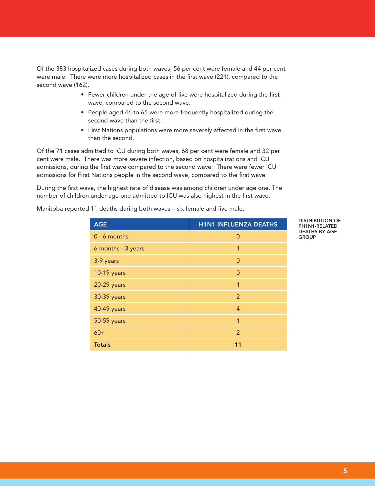Of the 383 hospitalized cases during both waves, 56 per cent were female and 44 per cent were male. There were more hospitalized cases in the first wave (221), compared to the second wave (162).

- Fewer children under the age of five were hospitalized during the first wave, compared to the second wave.
- People aged 46 to 65 were more frequently hospitalized during the second wave than the first.
- First Nations populations were more severely affected in the first wave than the second.

Of the 71 cases admitted to ICU during both waves, 68 per cent were female and 32 per cent were male. There was more severe infection, based on hospitalizations and ICU admissions, during the first wave compared to the second wave. There were fewer ICU admissions for First Nations people in the second wave, compared to the first wave.

During the first wave, the highest rate of disease was among children under age one. The number of children under age one admitted to ICU was also highest in the first wave.

Manitoba reported 11 deaths during both waves – six female and five male.

| <b>AGE</b>         | <b>H1N1 INFLUENZA DEATHS</b> |  |  |  |  |
|--------------------|------------------------------|--|--|--|--|
| $0 - 6$ months     | $\Omega$                     |  |  |  |  |
| 6 months - 3 years | 1                            |  |  |  |  |
| 3-9 years          | $\Omega$                     |  |  |  |  |
| 10-19 years        | $\Omega$                     |  |  |  |  |
| 20-29 years        | $\mathbf{1}$                 |  |  |  |  |
| 30-39 years        | $\overline{2}$               |  |  |  |  |
| 40-49 years        | $\overline{4}$               |  |  |  |  |
| 50-59 years        | 1                            |  |  |  |  |
| $60+$              | $\overline{2}$               |  |  |  |  |
| <b>Totals</b>      | 11                           |  |  |  |  |

DISTRIBUTION OF PH1N1-RELATED DEATHS BY AGE **GROUP**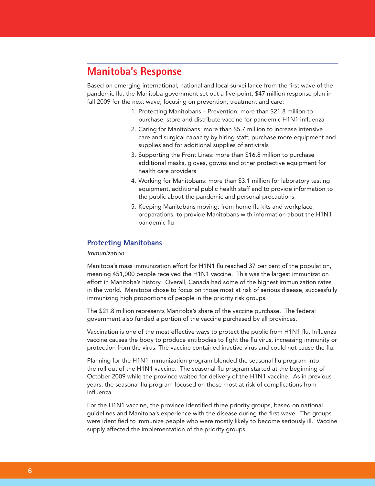# **Manitoba's Response**

Based on emerging international, national and local surveillance from the first wave of the pandemic flu, the Manitoba government set out a five-point, \$47 million response plan in fall 2009 for the next wave, focusing on prevention, treatment and care:

- 1. Protecting Manitobans Prevention: more than \$21.8 million to purchase, store and distribute vaccine for pandemic H1N1 influenza
- 2. Caring for Manitobans: more than \$5.7 million to increase intensive care and surgical capacity by hiring staff; purchase more equipment and supplies and for additional supplies of antivirals
- 3. Supporting the Front Lines: more than \$16.8 million to purchase additional masks, gloves, gowns and other protective equipment for health care providers
- 4. Working for Manitobans: more than \$3.1 million for laboratory testing equipment, additional public health staff and to provide information to the public about the pandemic and personal precautions
- 5. Keeping Manitobans moving: from home flu kits and workplace preparations, to provide Manitobans with information about the H1N1 pandemic flu

# **Protecting Manitobans**

#### *Immunization*

Manitoba's mass immunization effort for H1N1 flu reached 37 per cent of the population, meaning 451,000 people received the H1N1 vaccine. This was the largest immunization effort in Manitoba's history. Overall, Canada had some of the highest immunization rates in the world. Manitoba chose to focus on those most at risk of serious disease, successfully immunizing high proportions of people in the priority risk groups.

The \$21.8 million represents Manitoba's share of the vaccine purchase. The federal government also funded a portion of the vaccine purchased by all provinces.

Vaccination is one of the most effective ways to protect the public from H1N1 flu. Influenza vaccine causes the body to produce antibodies to fight the flu virus, increasing immunity or protection from the virus. The vaccine contained inactive virus and could not cause the flu.

Planning for the H1N1 immunization program blended the seasonal flu program into the roll out of the H1N1 vaccine. The seasonal flu program started at the beginning of October 2009 while the province waited for delivery of the H1N1 vaccine. As in previous years, the seasonal flu program focused on those most at risk of complications from influenza.

For the H1N1 vaccine, the province identified three priority groups, based on national guidelines and Manitoba's experience with the disease during the first wave. The groups were identified to immunize people who were mostly likely to become seriously ill. Vaccine supply affected the implementation of the priority groups.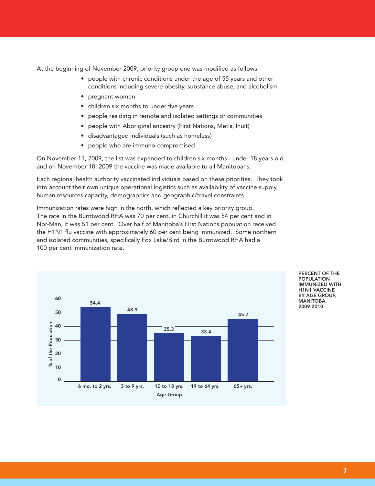At the beginning of November 2009, priority group one was modified as follows:

- people with chronic conditions under the age of 55 years and other conditions including severe obesity, substance abuse, and alcoholism
- pregnant women
- children six months to under five years
- people residing in remote and isolated settings or communities
- people with Aboriginal ancestry (First Nations, Metis, Inuit)
- disadvantaged individuals (such as homeless)
- people who are immuno-compromised

On November 11, 2009, the list was expanded to children six months - under 18 years old and on November 18, 2009 the vaccine was made available to all Manitobans.

Each regional health authority vaccinated individuals based on these priorities. They took into account their own unique operational logistics such as availability of vaccine supply, human resources capacity, demographics and geographic/travel constraints.

Immunization rates were high in the north, which reflected a key priority group. The rate in the Burntwood RHA was 70 per cent, in Churchill it was 54 per cent and in Nor-Man, it was 51 per cent. Over half of Manitoba's First Nations population received the H1N1 flu vaccine with approximately 60 per cent being immunized. Some northern and isolated communities, specifically Fox Lake/Bird in the Burntwood RHA had a 100 per cent immunization rate.



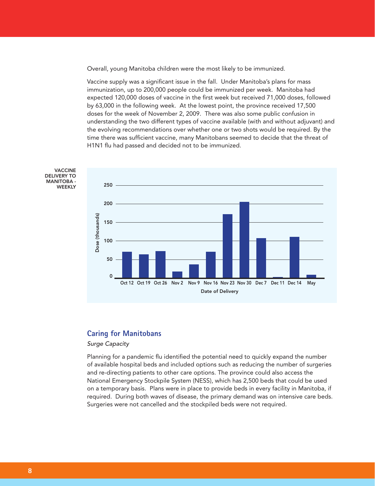Overall, young Manitoba children were the most likely to be immunized.

Vaccine supply was a significant issue in the fall. Under Manitoba's plans for mass immunization, up to 200,000 people could be immunized per week. Manitoba had expected 120,000 doses of vaccine in the first week but received 71,000 doses, followed by 63,000 in the following week. At the lowest point, the province received 17,500 doses for the week of November 2, 2009. There was also some public confusion in understanding the two different types of vaccine available (with and without adjuvant) and the evolving recommendations over whether one or two shots would be required. By the time there was sufficient vaccine, many Manitobans seemed to decide that the threat of H1N1 flu had passed and decided not to be immunized.



## **Caring for Manitobans**

## *Surge Capacity*

Planning for a pandemic flu identified the potential need to quickly expand the number of available hospital beds and included options such as reducing the number of surgeries and re-directing patients to other care options. The province could also access the National Emergency Stockpile System (NESS), which has 2,500 beds that could be used on a temporary basis. Plans were in place to provide beds in every facility in Manitoba, if required. During both waves of disease, the primary demand was on intensive care beds. Surgeries were not cancelled and the stockpiled beds were not required.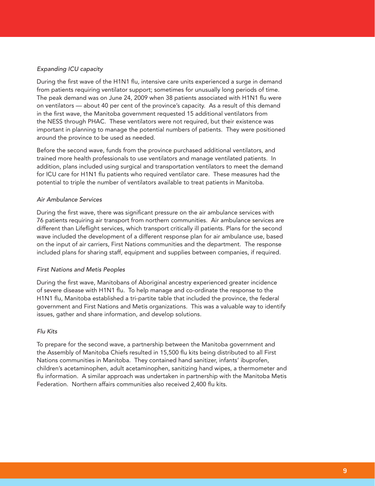## *Expanding ICU capacity*

During the first wave of the H1N1 flu, intensive care units experienced a surge in demand from patients requiring ventilator support; sometimes for unusually long periods of time. The peak demand was on June 24, 2009 when 38 patients associated with H1N1 flu were on ventilators — about 40 per cent of the province's capacity. As a result of this demand in the first wave, the Manitoba government requested 15 additional ventilators from the NESS through PHAC. These ventilators were not required, but their existence was important in planning to manage the potential numbers of patients. They were positioned around the province to be used as needed.

Before the second wave, funds from the province purchased additional ventilators, and trained more health professionals to use ventilators and manage ventilated patients. In addition, plans included using surgical and transportation ventilators to meet the demand for ICU care for H1N1 flu patients who required ventilator care. These measures had the potential to triple the number of ventilators available to treat patients in Manitoba.

#### *Air Ambulance Services*

During the first wave, there was significant pressure on the air ambulance services with 76 patients requiring air transport from northern communities. Air ambulance services are different than Lifeflight services, which transport critically ill patients. Plans for the second wave included the development of a different response plan for air ambulance use, based on the input of air carriers, First Nations communities and the department. The response included plans for sharing staff, equipment and supplies between companies, if required.

#### *First Nations and Metis Peoples*

During the first wave, Manitobans of Aboriginal ancestry experienced greater incidence of severe disease with H1N1 flu. To help manage and co-ordinate the response to the H1N1 flu, Manitoba established a tri-partite table that included the province, the federal government and First Nations and Metis organizations. This was a valuable way to identify issues, gather and share information, and develop solutions.

## *Flu Kits*

To prepare for the second wave, a partnership between the Manitoba government and the Assembly of Manitoba Chiefs resulted in 15,500 flu kits being distributed to all First Nations communities in Manitoba. They contained hand sanitizer, infants' ibuprofen, children's acetaminophen, adult acetaminophen, sanitizing hand wipes, a thermometer and flu information. A similar approach was undertaken in partnership with the Manitoba Metis Federation. Northern affairs communities also received 2,400 flu kits.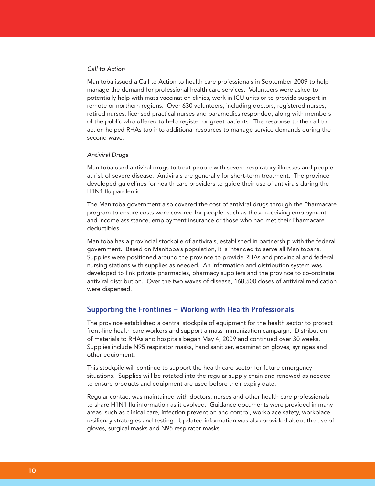#### *Call to Action*

Manitoba issued a Call to Action to health care professionals in September 2009 to help manage the demand for professional health care services. Volunteers were asked to potentially help with mass vaccination clinics, work in ICU units or to provide support in remote or northern regions. Over 630 volunteers, including doctors, registered nurses, retired nurses, licensed practical nurses and paramedics responded, along with members of the public who offered to help register or greet patients. The response to the call to action helped RHAs tap into additional resources to manage service demands during the second wave.

#### *Antiviral Drugs*

Manitoba used antiviral drugs to treat people with severe respiratory illnesses and people at risk of severe disease. Antivirals are generally for short-term treatment. The province developed guidelines for health care providers to guide their use of antivirals during the H1N1 flu pandemic.

The Manitoba government also covered the cost of antiviral drugs through the Pharmacare program to ensure costs were covered for people, such as those receiving employment and income assistance, employment insurance or those who had met their Pharmacare deductibles.

Manitoba has a provincial stockpile of antivirals, established in partnership with the federal government. Based on Manitoba's population, it is intended to serve all Manitobans. Supplies were positioned around the province to provide RHAs and provincial and federal nursing stations with supplies as needed. An information and distribution system was developed to link private pharmacies, pharmacy suppliers and the province to co-ordinate antiviral distribution. Over the two waves of disease, 168,500 doses of antiviral medication were dispensed.

## **Supporting the Frontlines – Working with Health Professionals**

The province established a central stockpile of equipment for the health sector to protect front-line health care workers and support a mass immunization campaign. Distribution of materials to RHAs and hospitals began May 4, 2009 and continued over 30 weeks. Supplies include N95 respirator masks, hand sanitizer, examination gloves, syringes and other equipment.

This stockpile will continue to support the health care sector for future emergency situations. Supplies will be rotated into the regular supply chain and renewed as needed to ensure products and equipment are used before their expiry date.

Regular contact was maintained with doctors, nurses and other health care professionals to share H1N1 flu information as it evolved. Guidance documents were provided in many areas, such as clinical care, infection prevention and control, workplace safety, workplace resiliency strategies and testing. Updated information was also provided about the use of gloves, surgical masks and N95 respirator masks.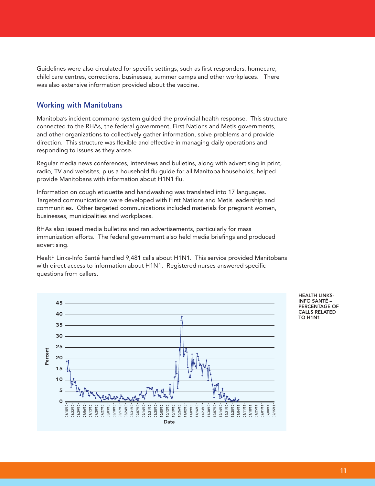Guidelines were also circulated for specific settings, such as first responders, homecare, child care centres, corrections, businesses, summer camps and other workplaces. There was also extensive information provided about the vaccine.

# **Working with Manitobans**

Manitoba's incident command system guided the provincial health response. This structure connected to the RHAs, the federal government, First Nations and Metis governments, and other organizations to collectively gather information, solve problems and provide direction. This structure was flexible and effective in managing daily operations and responding to issues as they arose.

Regular media news conferences, interviews and bulletins, along with advertising in print, radio, TV and websites, plus a household flu guide for all Manitoba households, helped provide Manitobans with information about H1N1 flu.

Information on cough etiquette and handwashing was translated into 17 languages. Targeted communications were developed with First Nations and Metis leadership and communities. Other targeted communications included materials for pregnant women, businesses, municipalities and workplaces.

RHAs also issued media bulletins and ran advertisements, particularly for mass immunization efforts. The federal government also held media briefings and produced advertising.

Health Links-Info Santé handled 9,481 calls about H1N1. This service provided Manitobans with direct access to information about H1N1. Registered nurses answered specific questions from callers.



HEALTH LINKS-INFO SANTÉ – PERCENTAGE OF CALLS RELATED TO H1N1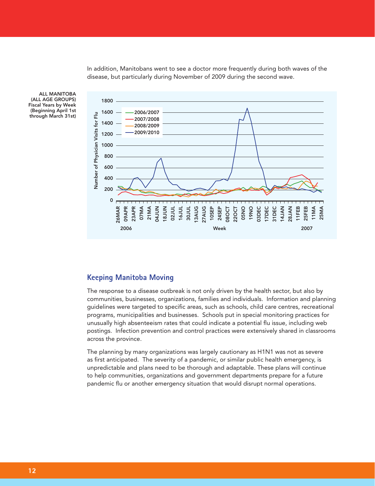In addition, Manitobans went to see a doctor more frequently during both waves of the disease, but particularly during November of 2009 during the second wave.



ALL MANITOBA (ALL AGE GROUPS) Fiscal Years by Week (Beginning April 1st through March 31st)

# **Keeping Manitoba Moving**

The response to a disease outbreak is not only driven by the health sector, but also by communities, businesses, organizations, families and individuals. Information and planning guidelines were targeted to specific areas, such as schools, child care centres, recreational programs, municipalities and businesses. Schools put in special monitoring practices for unusually high absenteeism rates that could indicate a potential flu issue, including web postings. Infection prevention and control practices were extensively shared in classrooms across the province.

The planning by many organizations was largely cautionary as H1N1 was not as severe as first anticipated. The severity of a pandemic, or similar public health emergency, is unpredictable and plans need to be thorough and adaptable. These plans will continue to help communities, organizations and government departments prepare for a future pandemic flu or another emergency situation that would disrupt normal operations.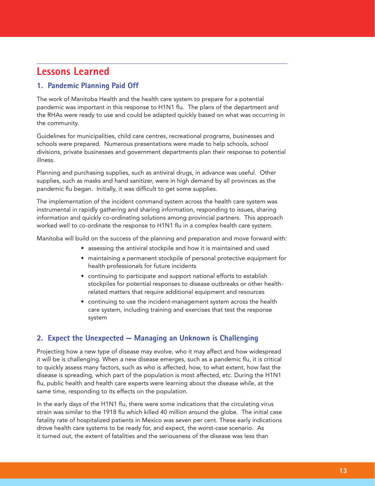# **Lessons Learned**

# **1. Pandemic Planning Paid Off**

The work of Manitoba Health and the health care system to prepare for a potential pandemic was important in this response to H1N1 flu. The plans of the department and the RHAs were ready to use and could be adapted quickly based on what was occurring in the community.

Guidelines for municipalities, child care centres, recreational programs, businesses and schools were prepared. Numerous presentations were made to help schools, school divisions, private businesses and government departments plan their response to potential illness.

Planning and purchasing supplies, such as antiviral drugs, in advance was useful. Other supplies, such as masks and hand sanitizer, were in high demand by all provinces as the pandemic flu began. Initially, it was difficult to get some supplies.

The implementation of the incident command system across the health care system was instrumental in rapidly gathering and sharing information, responding to issues, sharing information and quickly co-ordinating solutions among provincial partners. This approach worked well to co-ordinate the response to H1N1 flu in a complex health care system.

Manitoba will build on the success of the planning and preparation and move forward with:

- assessing the antiviral stockpile and how it is maintained and used
- maintaining a permanent stockpile of personal protective equipment for health professionals for future incidents
- continuing to participate and support national efforts to establish stockpiles for potential responses to disease outbreaks or other healthrelated matters that require additional equipment and resources
- continuing to use the incident-management system across the health care system, including training and exercises that test the response system

# **2. Expect the Unexpected — Managing an Unknown is Challenging**

Projecting how a new type of disease may evolve, who it may affect and how widespread it will be is challenging. When a new disease emerges, such as a pandemic flu, it is critical to quickly assess many factors, such as who is affected, how, to what extent, how fast the disease is spreading, which part of the population is most affected, etc. During the H1N1 flu, public health and health care experts were learning about the disease while, at the same time, responding to its effects on the population.

In the early days of the H1N1 flu, there were some indications that the circulating virus strain was similar to the 1918 flu which killed 40 million around the globe. The initial case fatality rate of hospitalized patients in Mexico was seven per cent. These early indications drove health care systems to be ready for, and expect, the worst-case scenario. As it turned out, the extent of fatalities and the seriousness of the disease was less than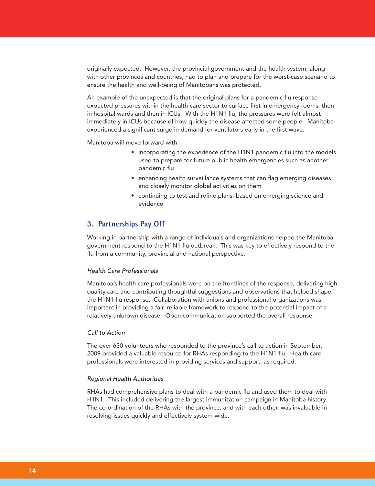originally expected. However, the provincial government and the health system, along with other provinces and countries, had to plan and prepare for the worst-case scenario to ensure the health and well-being of Manitobans was protected.

An example of the unexpected is that the original plans for a pandemic flu response expected pressures within the health care sector to surface first in emergency rooms, then in hospital wards and then in ICUs. With the H1N1 flu, the pressures were felt almost immediately in ICUs because of how quickly the disease affected some people. Manitoba experienced a significant surge in demand for ventilators early in the first wave.

Manitoba will move forward with:

- incorporating the experience of the H1N1 pandemic flu into the models used to prepare for future public health emergencies such as another pandemic flu
- enhancing health surveillance systems that can flag emerging diseases and closely monitor global activities on them
- continuing to test and refine plans, based on emerging science and evidence

## **3. Partnerships Pay Off**

Working in partnership with a range of individuals and organizations helped the Manitoba government respond to the H1N1 flu outbreak. This was key to effectively respond to the flu from a community, provincial and national perspective.

### *Health Care Professionals*

Manitoba's health care professionals were on the frontlines of the response, delivering high quality care and contributing thoughtful suggestions and observations that helped shape the H1N1 flu response. Collaboration with unions and professional organizations was important in providing a fair, reliable framework to respond to the potential impact of a relatively unknown disease. Open communication supported the overall response.

### *Call to Action*

The over 630 volunteers who responded to the province's call to action in September, 2009 provided a valuable resource for RHAs responding to the H1N1 flu. Health care professionals were interested in providing services and support, as required.

#### *Regional Health Authorities*

RHAs had comprehensive plans to deal with a pandemic flu and used them to deal with H1N1. This included delivering the largest immunization campaign in Manitoba history. The co-ordination of the RHAs with the province, and with each other, was invaluable in resolving issues quickly and effectively system-wide.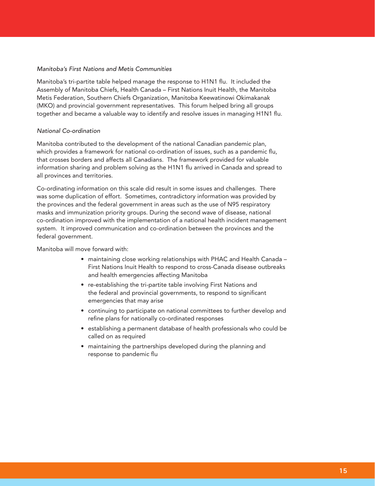### *Manitoba's First Nations and Metis Communities*

Manitoba's tri-partite table helped manage the response to H1N1 flu. It included the Assembly of Manitoba Chiefs, Health Canada – First Nations Inuit Health, the Manitoba Metis Federation, Southern Chiefs Organization, Manitoba Keewatinowi Okimakanak (MKO) and provincial government representatives. This forum helped bring all groups together and became a valuable way to identify and resolve issues in managing H1N1 flu.

#### *National Co-ordination*

Manitoba contributed to the development of the national Canadian pandemic plan, which provides a framework for national co-ordination of issues, such as a pandemic flu, that crosses borders and affects all Canadians. The framework provided for valuable information sharing and problem solving as the H1N1 flu arrived in Canada and spread to all provinces and territories.

Co-ordinating information on this scale did result in some issues and challenges. There was some duplication of effort. Sometimes, contradictory information was provided by the provinces and the federal government in areas such as the use of N95 respiratory masks and immunization priority groups. During the second wave of disease, national co-ordination improved with the implementation of a national health incident management system. It improved communication and co-ordination between the provinces and the federal government.

Manitoba will move forward with:

- maintaining close working relationships with PHAC and Health Canada First Nations Inuit Health to respond to cross-Canada disease outbreaks and health emergencies affecting Manitoba
- re-establishing the tri-partite table involving First Nations and the federal and provincial governments, to respond to significant emergencies that may arise
- continuing to participate on national committees to further develop and refine plans for nationally co-ordinated responses
- establishing a permanent database of health professionals who could be called on as required
- maintaining the partnerships developed during the planning and response to pandemic flu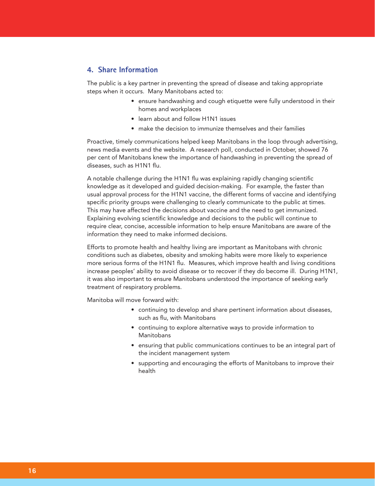## **4. Share Information**

The public is a key partner in preventing the spread of disease and taking appropriate steps when it occurs. Many Manitobans acted to:

- ensure handwashing and cough etiquette were fully understood in their homes and workplaces
- learn about and follow H1N1 issues
- make the decision to immunize themselves and their families

Proactive, timely communications helped keep Manitobans in the loop through advertising, news media events and the website. A research poll, conducted in October, showed 76 per cent of Manitobans knew the importance of handwashing in preventing the spread of diseases, such as H1N1 flu.

A notable challenge during the H1N1 flu was explaining rapidly changing scientific knowledge as it developed and guided decision-making. For example, the faster than usual approval process for the H1N1 vaccine, the different forms of vaccine and identifying specific priority groups were challenging to clearly communicate to the public at times. This may have affected the decisions about vaccine and the need to get immunized. Explaining evolving scientific knowledge and decisions to the public will continue to require clear, concise, accessible information to help ensure Manitobans are aware of the information they need to make informed decisions.

Efforts to promote health and healthy living are important as Manitobans with chronic conditions such as diabetes, obesity and smoking habits were more likely to experience more serious forms of the H1N1 flu. Measures, which improve health and living conditions increase peoples' ability to avoid disease or to recover if they do become ill. During H1N1, it was also important to ensure Manitobans understood the importance of seeking early treatment of respiratory problems.

Manitoba will move forward with:

- continuing to develop and share pertinent information about diseases, such as flu, with Manitobans
- continuing to explore alternative ways to provide information to Manitobans
- ensuring that public communications continues to be an integral part of the incident management system
- supporting and encouraging the efforts of Manitobans to improve their health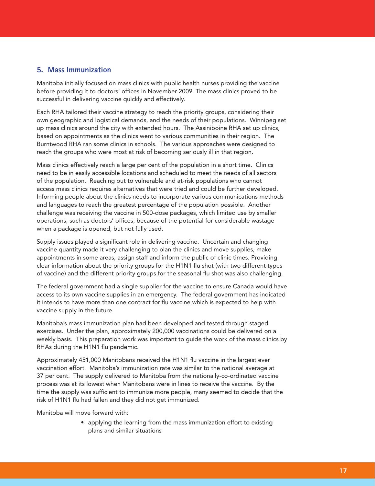# **5. Mass Immunization**

Manitoba initially focused on mass clinics with public health nurses providing the vaccine before providing it to doctors' offices in November 2009. The mass clinics proved to be successful in delivering vaccine quickly and effectively.

Each RHA tailored their vaccine strategy to reach the priority groups, considering their own geographic and logistical demands, and the needs of their populations. Winnipeg set up mass clinics around the city with extended hours. The Assiniboine RHA set up clinics, based on appointments as the clinics went to various communities in their region. The Burntwood RHA ran some clinics in schools. The various approaches were designed to reach the groups who were most at risk of becoming seriously ill in that region.

Mass clinics effectively reach a large per cent of the population in a short time. Clinics need to be in easily accessible locations and scheduled to meet the needs of all sectors of the population. Reaching out to vulnerable and at-risk populations who cannot access mass clinics requires alternatives that were tried and could be further developed. Informing people about the clinics needs to incorporate various communications methods and languages to reach the greatest percentage of the population possible. Another challenge was receiving the vaccine in 500-dose packages, which limited use by smaller operations, such as doctors' offices, because of the potential for considerable wastage when a package is opened, but not fully used.

Supply issues played a significant role in delivering vaccine. Uncertain and changing vaccine quantity made it very challenging to plan the clinics and move supplies, make appointments in some areas, assign staff and inform the public of clinic times. Providing clear information about the priority groups for the H1N1 flu shot (with two different types of vaccine) and the different priority groups for the seasonal flu shot was also challenging.

The federal government had a single supplier for the vaccine to ensure Canada would have access to its own vaccine supplies in an emergency. The federal government has indicated it intends to have more than one contract for flu vaccine which is expected to help with vaccine supply in the future.

Manitoba's mass immunization plan had been developed and tested through staged exercises. Under the plan, approximately 200,000 vaccinations could be delivered on a weekly basis. This preparation work was important to guide the work of the mass clinics by RHAs during the H1N1 flu pandemic.

Approximately 451,000 Manitobans received the H1N1 flu vaccine in the largest ever vaccination effort. Manitoba's immunization rate was similar to the national average at 37 per cent. The supply delivered to Manitoba from the nationally-co-ordinated vaccine process was at its lowest when Manitobans were in lines to receive the vaccine. By the time the supply was sufficient to immunize more people, many seemed to decide that the risk of H1N1 flu had fallen and they did not get immunized.

Manitoba will move forward with:

• applying the learning from the mass immunization effort to existing plans and similar situations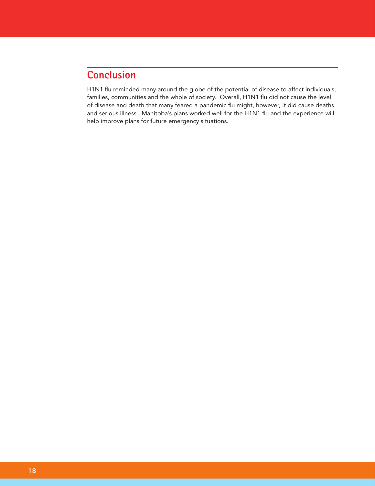# **Conclusion**

H1N1 flu reminded many around the globe of the potential of disease to affect individuals, families, communities and the whole of society. Overall, H1N1 flu did not cause the level of disease and death that many feared a pandemic flu might, however, it did cause deaths and serious illness. Manitoba's plans worked well for the H1N1 flu and the experience will help improve plans for future emergency situations.